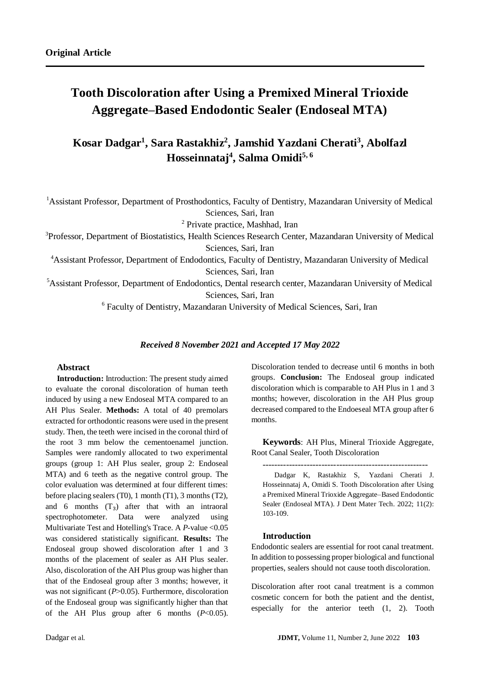# **Tooth Discoloration after Using a Premixed Mineral Trioxide Aggregate–Based Endodontic Sealer (Endoseal MTA)**

## **Kosar Dadgar<sup>1</sup> , Sara Rastakhiz<sup>2</sup> , Jamshid Yazdani Cherati<sup>3</sup> , Abolfazl Hosseinnataj<sup>4</sup> , Salma Omidi5, 6**

<sup>1</sup>Assistant Professor, Department of Prosthodontics, Faculty of Dentistry, Mazandaran University of Medical Sciences, Sari, Iran

2 Private practice, Mashhad, Iran

<sup>3</sup>Professor, Department of Biostatistics, Health Sciences Research Center, Mazandaran University of Medical Sciences, Sari, Iran

<sup>4</sup>Assistant Professor, Department of Endodontics, Faculty of Dentistry, Mazandaran University of Medical Sciences, Sari, Iran

<sup>5</sup>Assistant Professor, Department of Endodontics, Dental research center, Mazandaran University of Medical Sciences, Sari, Iran

6 Faculty of Dentistry, Mazandaran University of Medical Sciences, Sari, Iran

#### *Received 8 November 2021 and Accepted 17 May 2022*

#### **Abstract**

**Introduction:** Introduction: The present study aimed to evaluate the coronal discoloration of human teeth induced by using a new Endoseal MTA compared to an AH Plus Sealer. **Methods:** A total of 40 premolars extracted for orthodontic reasons were used in the present study. Then, the teeth were incised in the coronal third of the root 3 mm below the cementoenamel junction. Samples were randomly allocated to two experimental groups (group 1: AH Plus sealer, group 2: Endoseal MTA) and 6 teeth as the negative control group. The color evaluation was determined at four different times: before placing sealers (T0), 1 month (T1), 3 months (T2), and 6 months  $(T_3)$  after that with an intraoral spectrophotometer. Data were analyzed using Multivariate Test and Hotelling's Trace. A *P*-value <0.05 was considered statistically significant. **Results:** The Endoseal group showed discoloration after 1 and 3 months of the placement of sealer as AH Plus sealer. Also, discoloration of the AH Plus group was higher than that of the Endoseal group after 3 months; however, it was not significant (*P*>0.05). Furthermore, discoloration of the Endoseal group was significantly higher than that of the AH Plus group after 6 months (*P*<0.05).

Discoloration tended to decrease until 6 months in both groups. **Conclusion:** The Endoseal group indicated discoloration which is comparable to AH Plus in 1 and 3 months; however, discoloration in the AH Plus group decreased compared to the Endoeseal MTA group after 6 months.

**Keywords**: AH Plus, Mineral Trioxide Aggregate, Root Canal Sealer, Tooth Discoloration

--------------------------------------------------------

Dadgar K, Rastakhiz S, Yazdani Cherati J. Hosseinnataj A, Omidi S. Tooth Discoloration after Using a Premixed Mineral Trioxide Aggregate–Based Endodontic Sealer (Endoseal MTA). J Dent Mater Tech. 2022; 11(2): 103-109.

#### **Introduction**

Endodontic sealers are essential for root canal treatment. In addition to possessing proper biological and functional properties, sealers should not cause tooth discoloration.

Discoloration after root canal treatment is a common cosmetic concern for both the patient and the dentist, especially for the anterior teeth [\(1,](#page-5-0) [2\)](#page-5-1). Tooth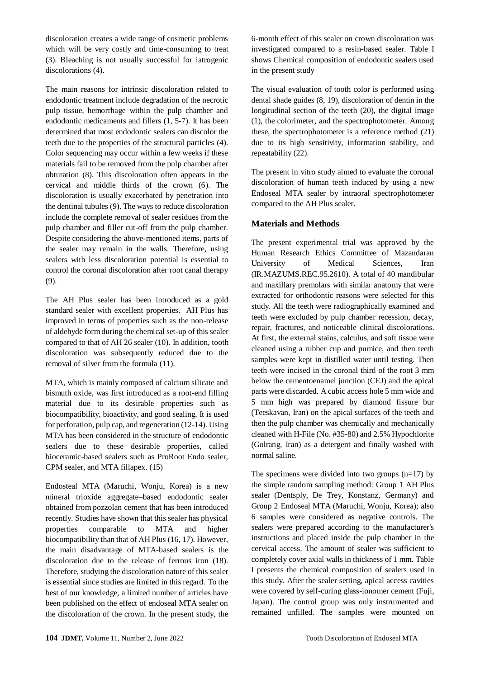discoloration creates a wide range of cosmetic problems which will be very costly and time-consuming to treat [\(3\)](#page-5-2). Bleaching is not usually successful for iatrogenic discolorations [\(4\)](#page-5-3).

The main reasons for intrinsic discoloration related to endodontic treatment include degradation of the necrotic pulp tissue, hemorrhage within the pulp chamber and endodontic medicaments and fillers [\(1,](#page-5-0) [5-7\)](#page-5-4). It has been determined that most endodontic sealers can discolor the teeth due to the properties of the structural particles [\(4\)](#page-5-3). Color sequencing may occur within a few weeks if these materials fail to be removed from the pulp chamber after obturation [\(8\)](#page-5-5). This discoloration often appears in the cervical and middle thirds of the crown [\(6\)](#page-5-6). The discoloration is usually exacerbated by penetration into the dentinal tubules [\(9\)](#page-5-7). The ways to reduce discoloration include the complete removal of sealer residues from the pulp chamber and filler cut-off from the pulp chamber. Despite considering the above-mentioned items, parts of the sealer may remain in the walls. Therefore, using sealers with less discoloration potential is essential to control the coronal discoloration after root canal therapy [\(9\)](#page-5-7).

The AH Plus sealer has been introduced as a gold standard sealer with excellent properties. AH Plus has improved in terms of properties such as the non-release of aldehyde form during the chemical set-up of this sealer compared to that of AH 26 sealer [\(10\)](#page-5-8). In addition, tooth discoloration was subsequently reduced due to the removal of silver from the formula [\(11\)](#page-5-9).

MTA, which is mainly composed of calcium silicate and bismuth oxide, was first introduced as a root-end filling material due to its desirable properties such as biocompatibility, bioactivity, and good sealing. It is used for perforation, pulp cap, and regeneration [\(12-14\)](#page-5-10). Using MTA has been considered in the structure of endodontic sealers due to these desirable properties, called bioceramic-based sealers such as ProRoot Endo sealer, CPM sealer, and MTA fillapex. [\(15\)](#page-5-11)

Endosteal MTA (Maruchi, Wonju, Korea) is a new mineral trioxide aggregate–based endodontic sealer obtained from pozzolan cement that has been introduced recently. Studies have shown that this sealer has physical properties comparable to MTA and higher biocompatibility than that of AH Plus [\(16,](#page-5-12) [17\)](#page-5-13). However, the main disadvantage of MTA-based sealers is the discoloration due to the release of ferrous iron [\(18\)](#page-5-14). Therefore, studying the discoloration nature of this sealer is essential since studies are limited in this regard. To the best of our knowledge, a limited number of articles have been published on the effect of endoseal MTA sealer on the discoloration of the crown. In the present study, the 6-month effect of this sealer on crown discoloration was investigated compared to a resin-based sealer. Table I shows Chemical composition of endodontic sealers used in the present study

The visual evaluation of tooth color is performed using dental shade guides [\(8,](#page-5-5) [19\)](#page-5-15), discoloration of dentin in the longitudinal section of the teeth [\(20\)](#page-6-0), the digital image [\(1\)](#page-5-0), the colorimeter, and the spectrophotometer. Among these, the spectrophotometer is a reference method [\(21\)](#page-6-1) due to its high sensitivity, information stability, and repeatability [\(22\)](#page-6-2).

The present in vitro study aimed to evaluate the coronal discoloration of human teeth induced by using a new Endoseal MTA sealer by intraoral spectrophotometer compared to the AH Plus sealer.

## **Materials and Methods**

The present experimental trial was approved by the Human Research Ethics Committee of Mazandaran University of Medical Sciences, Iran (IR.MAZUMS.REC.95.2610). A total of 40 mandibular and maxillary premolars with similar anatomy that were extracted for orthodontic reasons were selected for this study. All the teeth were radiographically examined and teeth were excluded by pulp chamber recession, decay, repair, fractures, and noticeable clinical discolorations. At first, the external stains, calculus, and soft tissue were cleaned using a rubber cup and pumice, and then teeth samples were kept in distilled water until testing. Then teeth were incised in the coronal third of the root 3 mm below the cementoenamel junction (CEJ) and the apical parts were discarded. A cubic access hole 5 mm wide and 5 mm high was prepared by diamond fissure bur (Teeskavan, Iran) on the apical surfaces of the teeth and then the pulp chamber was chemically and mechanically cleaned with H-File (No. #35-80) and 2.5% Hypochlorite (Golrang, Iran) as a detergent and finally washed with normal saline.

The specimens were divided into two groups  $(n=17)$  by the simple random sampling method: Group 1 AH Plus sealer (Dentsply, De Trey, Konstanz, Germany) and Group 2 Endoseal MTA (Maruchi, Wonju, Korea); also 6 samples were considered as negative controls. The sealers were prepared according to the manufacturer's instructions and placed inside the pulp chamber in the cervical access. The amount of sealer was sufficient to completely cover axial walls in thickness of 1 mm. Table I presents the chemical composition of sealers used in this study. After the sealer setting, apical access cavities were covered by self-curing glass-ionomer cement (Fuji, Japan). The control group was only instrumented and remained unfilled. The samples were mounted on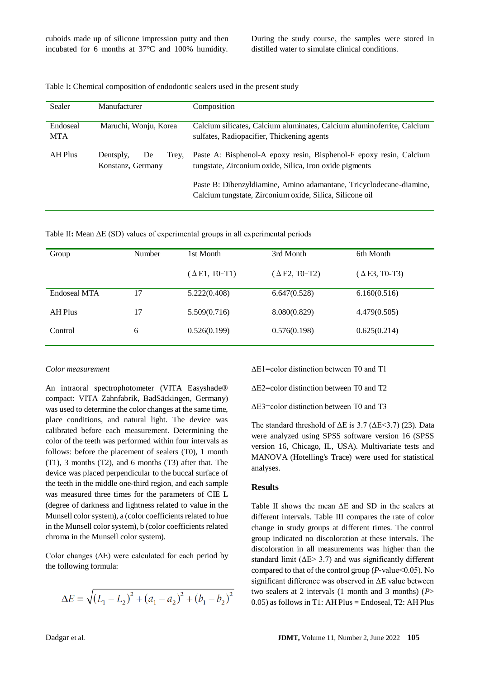cuboids made up of silicone impression putty and then incubated for 6 months at 37°C and 100% humidity. During the study course, the samples were stored in distilled water to simulate clinical conditions.

|  |  |  | Table I: Chemical composition of endodontic sealers used in the present study |  |
|--|--|--|-------------------------------------------------------------------------------|--|
|--|--|--|-------------------------------------------------------------------------------|--|

| Sealer                 | Manufacturer                                  | Composition                                                                                                                     |
|------------------------|-----------------------------------------------|---------------------------------------------------------------------------------------------------------------------------------|
| Endoseal<br><b>MTA</b> | Maruchi, Wonju, Korea                         | Calcium silicates, Calcium aluminates, Calcium aluminoferrite, Calcium<br>sulfates, Radiopacifier, Thickening agents            |
| AH Plus                | Dentsply,<br>De<br>Trey,<br>Konstanz, Germany | Paste A: Bisphenol-A epoxy resin, Bisphenol-F epoxy resin, Calcium<br>tungstate, Zirconium oxide, Silica, Iron oxide pigments   |
|                        |                                               | Paste B: Dibenzyldiamine, Amino adamantane, Tricyclodecane-diamine,<br>Calcium tungstate, Zirconium oxide, Silica, Silicone oil |

Table II**:** Mean ΔE (SD) values of experimental groups in all experimental periods

| Group        | Number | 1st Month            | 3rd Month            | 6th Month            |
|--------------|--------|----------------------|----------------------|----------------------|
|              |        | $(\Delta E1, T0-T1)$ | $(\Delta E2, T0-T2)$ | $(\Delta E3, T0-T3)$ |
| Endoseal MTA | 17     | 5.222(0.408)         | 6.647(0.528)         | 6.160(0.516)         |
| AH Plus      | 17     | 5.509(0.716)         | 8.080(0.829)         | 4.479(0.505)         |
| Control      | 6      | 0.526(0.199)         | 0.576(0.198)         | 0.625(0.214)         |

#### *Color measurement*

An intraoral spectrophotometer (VITA Easyshade® compact: VITA Zahnfabrik, BadSäckingen, Germany) was used to determine the color changes at the same time, place conditions, and natural light. The device was calibrated before each measurement. Determining the color of the teeth was performed within four intervals as follows: before the placement of sealers (T0), 1 month (T1), 3 months (T2), and 6 months (T3) after that. The device was placed perpendicular to the buccal surface of the teeth in the middle one-third region, and each sample was measured three times for the parameters of CIE L (degree of darkness and lightness related to value in the Munsell color system), a (color coefficients related to hue in the Munsell color system), b (color coefficients related chroma in the Munsell color system).

Color changes (∆E) were calculated for each period by the following formula:

$$
\Delta E = \sqrt{(L_1 - L_2)^2 + (a_1 - a_2)^2 + (b_1 - b_2)^2}
$$

ΔE1=color distinction between T0 and T1

ΔE2=color distinction between T0 and T2

ΔE3=color distinction between T0 and T3

The standard threshold of  $\Delta E$  is 3.7 ( $\Delta E$ <3.7) [\(23\)](#page-6-3). Data were analyzed using SPSS software version 16 (SPSS version 16, Chicago, IL, USA). Multivariate tests and MANOVA (Hotelling's Trace) were used for statistical analyses.

#### **Results**

Table II shows the mean ΔE and SD in the sealers at different intervals. Table III compares the rate of color change in study groups at different times. The control group indicated no discoloration at these intervals. The discoloration in all measurements was higher than the standard limit ( $\Delta E$  > 3.7) and was significantly different compared to that of the control group (*P*-value˂0.05). No significant difference was observed in ΔE value between two sealers at 2 intervals (1 month and 3 months) (*P*> 0.05) as follows in T1: AH Plus = Endoseal, T2: AH Plus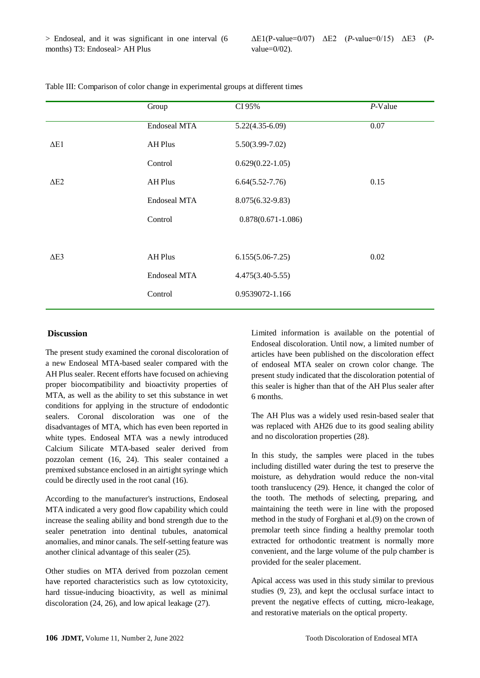|             | Group               | CI 95%                 | $P$ -Value |
|-------------|---------------------|------------------------|------------|
|             | <b>Endoseal MTA</b> | $5.22(4.35-6.09)$      | 0.07       |
| $\Delta E1$ | <b>AH Plus</b>      | $5.50(3.99 - 7.02)$    |            |
|             | Control             | $0.629(0.22 - 1.05)$   |            |
| $\Delta$ E2 | <b>AH Plus</b>      | $6.64(5.52 - 7.76)$    | 0.15       |
|             | <b>Endoseal MTA</b> | 8.075(6.32-9.83)       |            |
|             | Control             | $0.878(0.671 - 1.086)$ |            |
|             |                     |                        |            |
| $\Delta$ E3 | <b>AH Plus</b>      | $6.155(5.06-7.25)$     | 0.02       |
|             | <b>Endoseal MTA</b> | $4.475(3.40-5.55)$     |            |
|             | Control             | 0.9539072-1.166        |            |
|             |                     |                        |            |

Table III: Comparison of color change in experimental groups at different times

#### **Discussion**

The present study examined the coronal discoloration of a new Endoseal MTA-based sealer compared with the AH Plus sealer. Recent efforts have focused on achieving proper biocompatibility and bioactivity properties of MTA, as well as the ability to set this substance in wet conditions for applying in the structure of endodontic sealers. Coronal discoloration was one of the disadvantages of MTA, which has even been reported in white types. Endoseal MTA was a newly introduced Calcium Silicate MTA-based sealer derived from pozzolan cement [\(16,](#page-5-12) [24\)](#page-6-4). This sealer contained a premixed substance enclosed in an airtight syringe which could be directly used in the root canal [\(16\)](#page-5-12).

According to the manufacturer's instructions, Endoseal MTA indicated a very good flow capability which could increase the sealing ability and bond strength due to the sealer penetration into dentinal tubules, anatomical anomalies, and minor canals. The self-setting feature was another clinical advantage of this sealer [\(25\)](#page-6-5).

Other studies on MTA derived from pozzolan cement have reported characteristics such as low cytotoxicity, hard tissue-inducing bioactivity, as well as minimal discoloration [\(24,](#page-6-4) [26\)](#page-6-6), and low apical leakage [\(27\)](#page-6-7).

Limited information is available on the potential of Endoseal discoloration. Until now, a limited number of articles have been published on the discoloration effect of endoseal MTA sealer on crown color change. The present study indicated that the discoloration potential of this sealer is higher than that of the AH Plus sealer after 6 months.

The AH Plus was a widely used resin-based sealer that was replaced with AH26 due to its good sealing ability and no discoloration properties [\(28\)](#page-6-8).

In this study, the samples were placed in the tubes including distilled water during the test to preserve the moisture, as dehydration would reduce the non-vital tooth translucency [\(29\)](#page-6-9). Hence, it changed the color of the tooth. The methods of selecting, preparing, and maintaining the teeth were in line with the proposed method in the study of Forghani et al.(9) on the crown of premolar teeth since finding a healthy premolar tooth extracted for orthodontic treatment is normally more convenient, and the large volume of the pulp chamber is provided for the sealer placement.

Apical access was used in this study similar to previous studies [\(9,](#page-5-7) [23\)](#page-6-3), and kept the occlusal surface intact to prevent the negative effects of cutting, micro-leakage, and restorative materials on the optical property.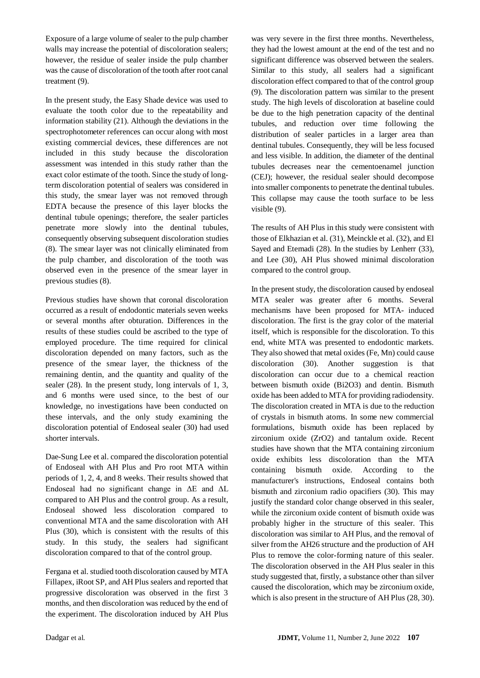Exposure of a large volume of sealer to the pulp chamber walls may increase the potential of discoloration sealers; however, the residue of sealer inside the pulp chamber was the cause of discoloration of the tooth after root canal treatment [\(9\)](#page-5-7).

In the present study, the Easy Shade device was used to evaluate the tooth color due to the repeatability and information stability [\(21\)](#page-6-1). Although the deviations in the spectrophotometer references can occur along with most existing commercial devices, these differences are not included in this study because the discoloration assessment was intended in this study rather than the exact color estimate of the tooth. Since the study of longterm discoloration potential of sealers was considered in this study, the smear layer was not removed through EDTA because the presence of this layer blocks the dentinal tubule openings; therefore, the sealer particles penetrate more slowly into the dentinal tubules, consequently observing subsequent discoloration studies [\(8\)](#page-5-5). The smear layer was not clinically eliminated from the pulp chamber, and discoloration of the tooth was observed even in the presence of the smear layer in previous studies [\(8\)](#page-5-5).

Previous studies have shown that coronal discoloration occurred as a result of endodontic materials seven weeks or several months after obturation. Differences in the results of these studies could be ascribed to the type of employed procedure. The time required for clinical discoloration depended on many factors, such as the presence of the smear layer, the thickness of the remaining dentin, and the quantity and quality of the sealer [\(28\)](#page-6-8). In the present study, long intervals of 1, 3, and 6 months were used since, to the best of our knowledge, no investigations have been conducted on these intervals, and the only study examining the discoloration potential of Endoseal sealer [\(30\)](#page-6-10) had used shorter intervals.

Dae-Sung Lee et al. compared the discoloration potential of Endoseal with AH Plus and Pro root MTA within periods of 1, 2, 4, and 8 weeks. Their results showed that Endoseal had no significant change in ΔE and ΔL compared to AH Plus and the control group. As a result, Endoseal showed less discoloration compared to conventional MTA and the same discoloration with AH Plus [\(30\)](#page-6-10), which is consistent with the results of this study. In this study, the sealers had significant discoloration compared to that of the control group.

Fergana et al. studied tooth discoloration caused by MTA Fillapex, iRoot SP, and AH Plus sealers and reported that progressive discoloration was observed in the first 3 months, and then discoloration was reduced by the end of the experiment. The discoloration induced by AH Plus

was very severe in the first three months. Nevertheless, they had the lowest amount at the end of the test and no significant difference was observed between the sealers. Similar to this study, all sealers had a significant discoloration effect compared to that of the control group [\(9\)](#page-5-7). The discoloration pattern was similar to the present study. The high levels of discoloration at baseline could be due to the high penetration capacity of the dentinal tubules, and reduction over time following the distribution of sealer particles in a larger area than dentinal tubules. Consequently, they will be less focused and less visible. In addition, the diameter of the dentinal tubules decreases near the cementoenamel junction (CEJ); however, the residual sealer should decompose into smaller components to penetrate the dentinal tubules. This collapse may cause the tooth surface to be less visible [\(9\)](#page-5-7).

The results of AH Plus in this study were consistent with those of Elkhazian et al. [\(31\)](#page-6-11), Meinckle et al. [\(32\)](#page-6-12), and El Sayed and Etemadi [\(28\)](#page-6-8). In the studies by Lenherr [\(33\)](#page-6-13), and Lee [\(30\)](#page-6-10), AH Plus showed minimal discoloration compared to the control group.

In the present study, the discoloration caused by endoseal MTA sealer was greater after 6 months. Several mechanisms have been proposed for MTA- induced discoloration. The first is the gray color of the material itself, which is responsible for the discoloration. To this end, white MTA was presented to endodontic markets. They also showed that metal oxides (Fe, Mn) could cause discoloration [\(30\)](#page-6-10). Another suggestion is that discoloration can occur due to a chemical reaction between bismuth oxide (Bi2O3) and dentin. Bismuth oxide has been added to MTA for providing radiodensity. The discoloration created in MTA is due to the reduction of crystals in bismuth atoms. In some new commercial formulations, bismuth oxide has been replaced by zirconium oxide (ZrO2) and tantalum oxide. Recent studies have shown that the MTA containing zirconium oxide exhibits less discoloration than the MTA containing bismuth oxide. According to the manufacturer's instructions, Endoseal contains both bismuth and zirconium radio opacifiers [\(30\)](#page-6-10). This may justify the standard color change observed in this sealer, while the zirconium oxide content of bismuth oxide was probably higher in the structure of this sealer. This discoloration was similar to AH Plus, and the removal of silver from the AH26 structure and the production of AH Plus to remove the color-forming nature of this sealer. The discoloration observed in the AH Plus sealer in this study suggested that, firstly, a substance other than silver caused the discoloration, which may be zirconium oxide, which is also present in the structure of AH Plus [\(28,](#page-6-8) [30\)](#page-6-10).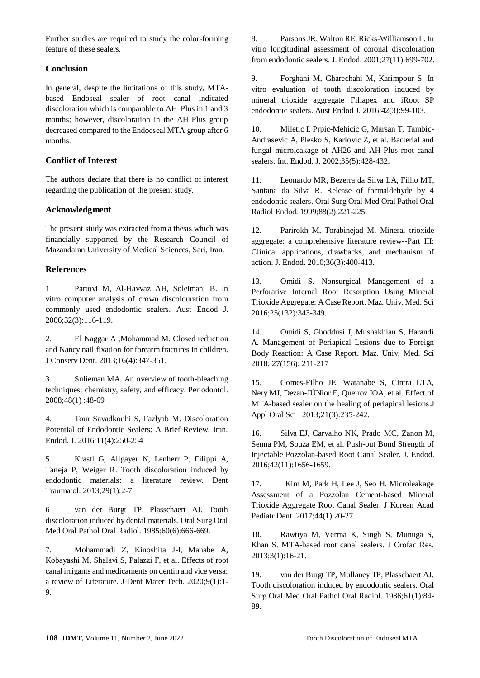Further studies are required to study the color-forming feature of these sealers.

## **Conclusion**

In general, despite the limitations of this study, MTAbased Endoseal sealer of root canal indicated discoloration which is comparable to AH Plus in 1 and 3 months; however, discoloration in the AH Plus group decreased compared to the Endoeseal MTA group after 6 months.

## **Conflict of Interest**

The authors declare that there is no conflict of interest regarding the publication of the present study.

## **Acknowledgment**

The present study was extracted from a thesis which was financially supported by the Research Council of Mazandaran University of Medical Sciences, Sari, Iran.

## **References**

<span id="page-5-0"></span>1 Partovi M, Al-Havvaz AH, Soleimani B. In vitro computer analysis of crown discolouration from commonly used endodontic sealers. Aust Endod J. 2006;32(3):116-119.

<span id="page-5-1"></span>2. El Naggar A ,Mohammad M. Closed reduction and Nancy nail fixation for forearm fractures in children. J Conserv Dent. 2013;16(4):347-351.

<span id="page-5-2"></span>3. Sulieman MA. An overview of tooth-bleaching techniques: chemistry, safety, and efficacy. Periodontol. 2008;48(1) :48-69

<span id="page-5-3"></span>4. Tour Savadkouhi S, Fazlyab M. Discoloration Potential of Endodontic Sealers: A Brief Review. Iran. Endod. J. 2016;11(4):250-254

<span id="page-5-4"></span>5. Krastl G, Allgayer N, Lenherr P, Filippi A, Taneja P, Weiger R. Tooth discoloration induced by endodontic materials: a literature review. Dent Traumatol. 2013;29(1):2-7.

<span id="page-5-6"></span>6 van der Burgt TP, Plasschaert AJ. Tooth discoloration induced by dental materials. Oral Surg Oral Med Oral Pathol Oral Radiol. 1985;60(6):666-669.

7. Mohammadi Z, Kinoshita J-I, Manabe A, Kobayashi M, Shalavi S, Palazzi F, et al. Effects of root canal irrigants and medicaments on dentin and vice versa: a review of Literature. J Dent Mater Tech. 2020;9(1):1- 9.

<span id="page-5-5"></span>8. Parsons JR, Walton RE, Ricks-Williamson L. In vitro longitudinal assessment of coronal discoloration from endodontic sealers. J. Endod. 2001;27(11):699-702.

<span id="page-5-7"></span>9. Forghani M, Gharechahi M, Karimpour S. In vitro evaluation of tooth discoloration induced by mineral trioxide aggregate Fillapex and iRoot SP endodontic sealers. Aust Endod J. 2016;42(3):99-103.

<span id="page-5-8"></span>10. Miletic I, Prpic-Mehicic G, Marsan T, Tambic-Andrasevic A, Plesko S, Karlovic Z, et al. Bacterial and fungal microleakage of AH26 and AH Plus root canal sealers. Int. Endod. J. 2002;35(5):428-432.

<span id="page-5-9"></span>11. Leonardo MR, Bezerra da Silva LA, Filho MT, Santana da Silva R. Release of formaldehyde by 4 endodontic sealers. Oral Surg Oral Med Oral Pathol Oral Radiol Endod. 1999;88(2):221-225.

<span id="page-5-10"></span>12. Parirokh M, Torabinejad M. Mineral trioxide aggregate: a comprehensive literature review--Part III: Clinical applications, drawbacks, and mechanism of action. J. Endod. 2010;36(3):400-413.

13. Omidi S. Nonsurgical Management of a Perforative Internal Root Resorption Using Mineral Trioxide Aggregate: A Case Report. Maz. Univ. Med. Sci 2016;25(132):343-349.

14.. Omidi S, Ghoddusi J, Mushakhian S, Harandi A. Management of Periapical Lesions due to Foreign Body Reaction: A Case Report. Maz. Univ. Med. Sci 2018; 27(156): 211-217

<span id="page-5-11"></span>15. Gomes-Filho JE, Watanabe S, Cintra LTA, Nery MJ, Dezan-JÚNior E, Queiroz IOA, et al. Effect of MTA-based sealer on the healing of periapical lesions.J Appl Oral Sci . 2013;21(3):235-242.

<span id="page-5-13"></span><span id="page-5-12"></span>16. Silva EJ, Carvalho NK, Prado MC, Zanon M, Senna PM, Souza EM, et al. Push-out Bond Strength of Injectable Pozzolan-based Root Canal Sealer. J. Endod. 2016;42(11):1656-1659.

17. Kim M, Park H, Lee J, Seo H. Microleakage Assessment of a Pozzolan Cement-based Mineral Trioxide Aggregate Root Canal Sealer. J Korean Acad Pediatr Dent. 2017;44(1):20-27.

<span id="page-5-14"></span>18. Rawtiya M, Verma K, Singh S, Munuga S, Khan S. MTA-based root canal sealers. J Orofac Res. 2013;3(1):16-21.

<span id="page-5-15"></span>19. van der Burgt TP, Mullaney TP, Plasschaert AJ. Tooth discoloration induced by endodontic sealers. Oral Surg Oral Med Oral Pathol Oral Radiol. 1986;61(1):84- 89.